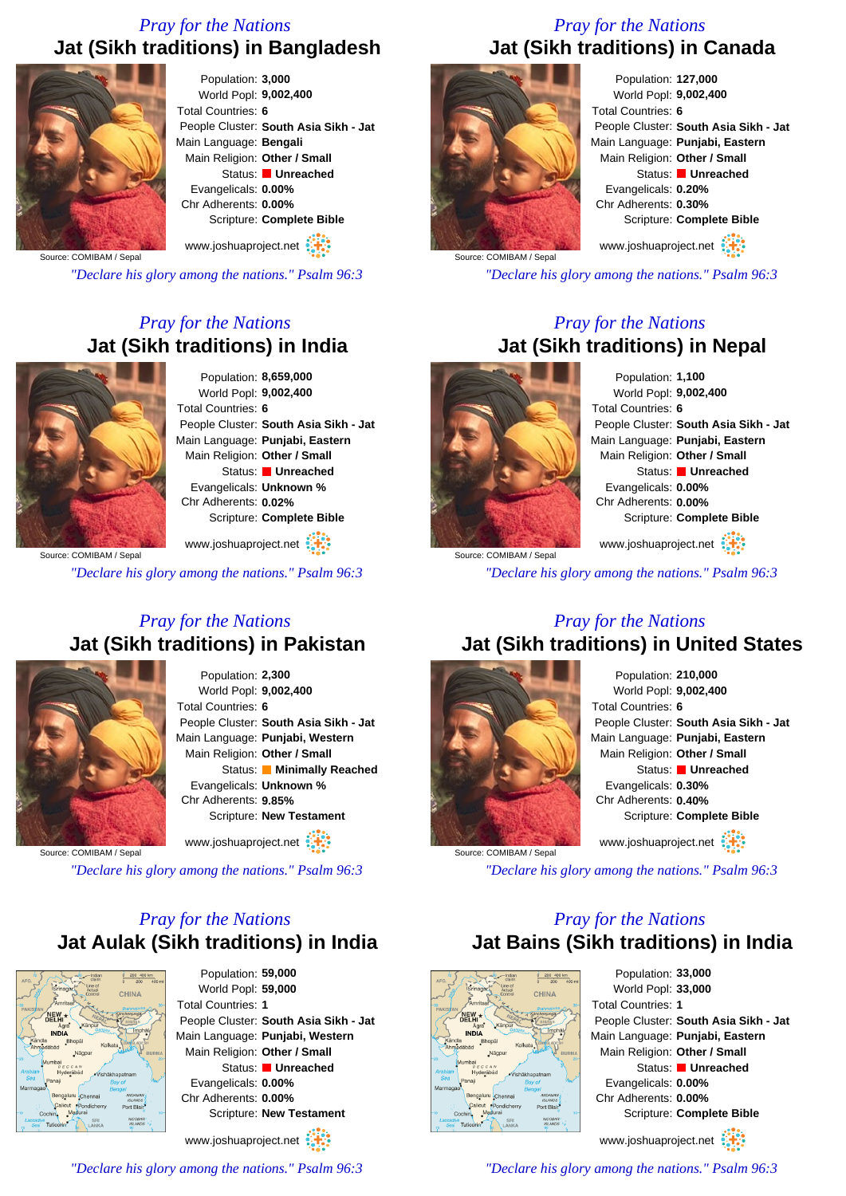# *Pray for the Nations* **Jat (Sikh traditions) in Bangladesh**



Population: **3,000** World Popl: **9,002,400** Total Countries: **6** People Cluster: **South Asia Sikh - Jat** Main Language: **Bengali** Main Religion: **Other / Small** Status: **Unreached** Evangelicals: **0.00%** Chr Adherents: **0.00%** Scripture: **Complete Bible**

www.joshuaproject.net

Source: COMIBAM / Sepal

*"Declare his glory among the nations." Psalm 96:3*

# *Pray for the Nations* **Jat (Sikh traditions) in India**



Population: **8,659,000** World Popl: **9,002,400** Total Countries: **6** People Cluster: **South Asia Sikh - Jat** Main Language: **Punjabi, Eastern** Main Religion: **Other / Small** Status: **Unreached** Evangelicals: **Unknown %** Chr Adherents: **0.02%** Scripture: **Complete Bible**

Source: COMIBAM / Sepa www.joshuaproject.net

*"Declare his glory among the nations." Psalm 96:3*

### *Pray for the Nations* **Jat (Sikh traditions) in Pakistan**



Population: **2,300** World Popl: **9,002,400** Total Countries: **6** People Cluster: **South Asia Sikh - Jat** Main Language: **Punjabi, Western** Main Religion: **Other / Small** Status: **Minimally Reached** Evangelicals: **Unknown %** Chr Adherents: **9.85%** Scripture: **New Testament**

www.joshuaproject.net :

Source: COMIBAM / Sepal

*"Declare his glory among the nations." Psalm 96:3*

# *Pray for the Nations* **Jat Aulak (Sikh traditions) in India**



Population: **59,000** World Popl: **59,000** Total Countries: **1** People Cluster: **South Asia Sikh - Jat** Main Language: **Punjabi, Western** Main Religion: **Other / Small** Status: **Unreached** Evangelicals: **0.00%** Chr Adherents: **0.00%** Scripture: **New Testament** www.joshuaproject.net

*"Declare his glory among the nations." Psalm 96:3*

# *Pray for the Nations* **Jat (Sikh traditions) in Canada**



Population: **127,000** World Popl: **9,002,400** Total Countries: **6** People Cluster: **South Asia Sikh - Jat** Main Language: **Punjabi, Eastern** Main Religion: **Other / Small** Status: **Unreached** Evangelicals: **0.20%** Chr Adherents: **0.30%** Scripture: **Complete Bible** www.joshuaproject.net

Source: COMIBAM / Sepal

*"Declare his glory among the nations." Psalm 96:3*

### *Pray for the Nations* **Jat (Sikh traditions) in Nepal**



Population: **1,100** World Popl: **9,002,400** Total Countries: **6** People Cluster: **South Asia Sikh - Jat** Main Language: **Punjabi, Eastern** Main Religion: **Other / Small** Status: **Unreached** Evangelicals: **0.00%** Chr Adherents: **0.00%** Scripture: **Complete Bible** www.joshuaproject.net

Source: COMIBAM / Sepa

*"Declare his glory among the nations." Psalm 96:3*

### *Pray for the Nations* **Jat (Sikh traditions) in United States**



Population: **210,000** World Popl: **9,002,400** Total Countries: **6** People Cluster: **South Asia Sikh - Jat** Main Language: **Punjabi, Eastern** Main Religion: **Other / Small** Status: **Unreached** Evangelicals: **0.30%** Chr Adherents: **0.40%** Scripture: **Complete Bible** www.joshuaproject.net

*"Declare his glory among the nations." Psalm 96:3*

### *Pray for the Nations* **Jat Bains (Sikh traditions) in India**



Population: **33,000** World Popl: **33,000** Total Countries: **1** People Cluster: **South Asia Sikh - Jat** Main Language: **Punjabi, Eastern** Main Religion: **Other / Small** Status: **Unreached** Evangelicals: **0.00%** Chr Adherents: **0.00%** Scripture: **Complete Bible** www.joshuaproject.net

*"Declare his glory among the nations." Psalm 96:3*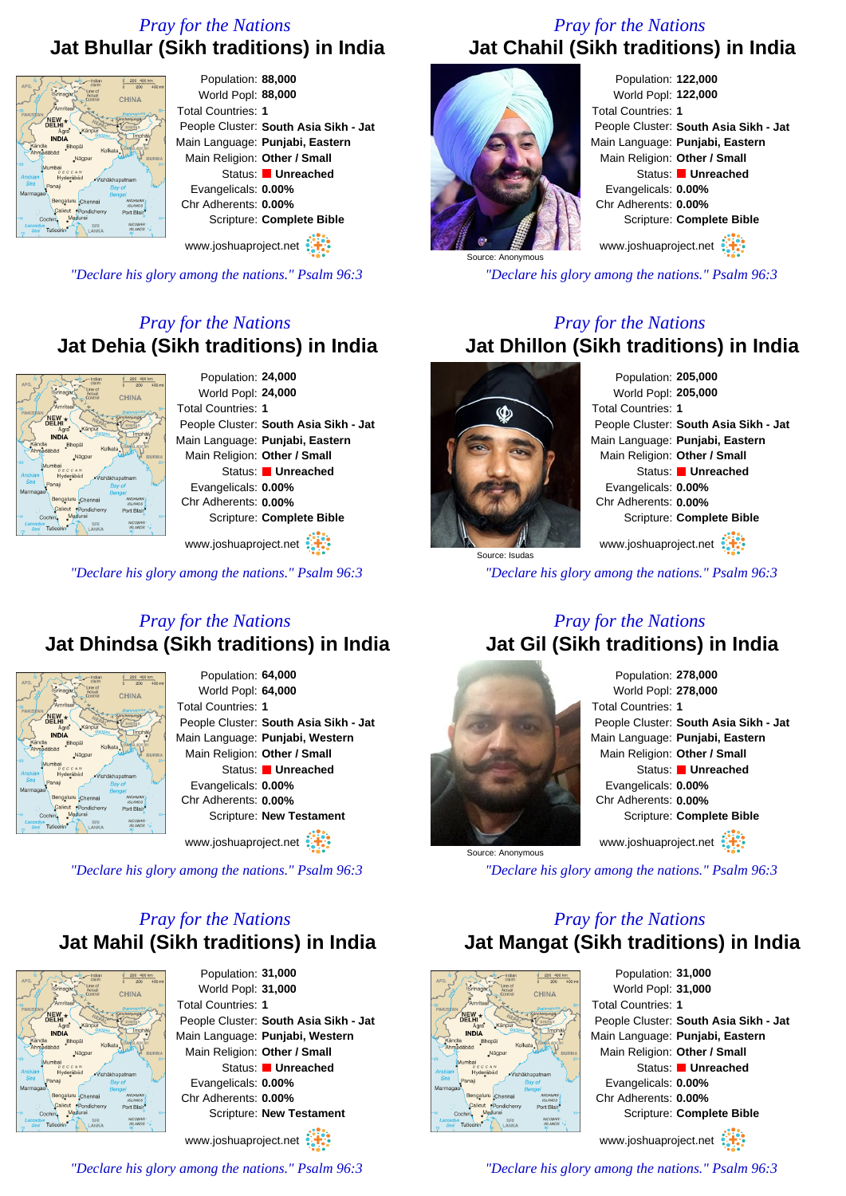# *Pray for the Nations* **Jat Bhullar (Sikh traditions) in India**



*"Declare his glory among the nations." Psalm 96:3*

*Pray for the Nations* **Jat Dehia (Sikh traditions) in India**



Population: **24,000** World Popl: **24,000** Total Countries: **1** People Cluster: **South Asia Sikh - Jat** Main Language: **Punjabi, Eastern** Main Religion: **Other / Small** Status: **Unreached** Evangelicals: **0.00%** Chr Adherents: **0.00%** Scripture: **Complete Bible**

www.joshuaproject.net

*"Declare his glory among the nations." Psalm 96:3*

### *Pray for the Nations* **Jat Dhindsa (Sikh traditions) in India**



Population: **64,000** World Popl: **64,000** Total Countries: **1** People Cluster: **South Asia Sikh - Jat** Main Language: **Punjabi, Western** Main Religion: **Other / Small** Status: **Unreached** Evangelicals: **0.00%** Chr Adherents: **0.00%** Scripture: **New Testament**

www.joshuaproject.net

*"Declare his glory among the nations." Psalm 96:3*

# *Pray for the Nations* **Jat Mahil (Sikh traditions) in India**



Population: **31,000** World Popl: **31,000** Total Countries: **1** People Cluster: **South Asia Sikh - Jat** Main Language: **Punjabi, Western** Main Religion: **Other / Small** Status: **Unreached** Evangelicals: **0.00%** Chr Adherents: **0.00%** Scripture: **New Testament** www.joshuaproject.net

*"Declare his glory among the nations." Psalm 96:3*

# *Pray for the Nations* **Jat Chahil (Sikh traditions) in India**



*"Declare his glory among the nations." Psalm 96:3*

## *Pray for the Nations* **Jat Dhillon (Sikh traditions) in India**



Source: Anonymous

Population: **205,000** World Popl: **205,000** Total Countries: **1** People Cluster: **South Asia Sikh - Jat** Main Language: **Punjabi, Eastern** Main Religion: **Other / Small** Status: **Unreached** Evangelicals: **0.00%** Chr Adherents: **0.00%** Scripture: **Complete Bible** www.joshuaproject.net

*"Declare his glory among the nations." Psalm 96:3*

### *Pray for the Nations* **Jat Gil (Sikh traditions) in India**



Population: **278,000** World Popl: **278,000** Total Countries: **1** People Cluster: **South Asia Sikh - Jat** Main Language: **Punjabi, Eastern** Main Religion: **Other / Small** Status: **Unreached** Evangelicals: **0.00%** Chr Adherents: **0.00%** Scripture: **Complete Bible** www.joshuaproject.net

*"Declare his glory among the nations." Psalm 96:3*

## *Pray for the Nations* **Jat Mangat (Sikh traditions) in India**



Population: **31,000** World Popl: **31,000** Total Countries: **1** People Cluster: **South Asia Sikh - Jat** Main Language: **Punjabi, Eastern** Main Religion: **Other / Small** Status: **Unreached** Evangelicals: **0.00%** Chr Adherents: **0.00%** Scripture: **Complete Bible** www.joshuaproject.net

*"Declare his glory among the nations." Psalm 96:3*